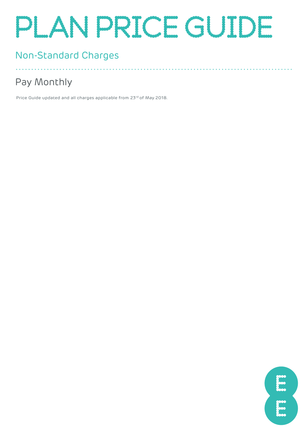# PLAN PRICE GUIDE

### Non-Standard Charges

### Pay Monthly

Price Guide updated and all charges applicable from 23rd of May 2018.



. . . . . . . . . . . . . . . . . .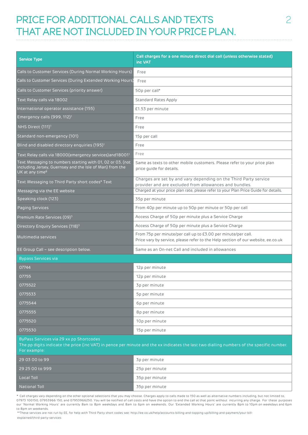### PRICE FOR ADDITIONAL CALLS AND TEXTS THAT ARE NOT INCLUDED IN YOUR PRICE PLAN.

| <b>Service Type</b>                                                                                                                                   | Call charges for a one minute direct dial call (unless otherwise stated)<br>inc VAT                                                               |
|-------------------------------------------------------------------------------------------------------------------------------------------------------|---------------------------------------------------------------------------------------------------------------------------------------------------|
| Calls to Customer Services (During Normal Working Hours)                                                                                              | Free                                                                                                                                              |
| Calls to Customer Services (During Extended Working Hours)                                                                                            | Free                                                                                                                                              |
| Calls to Customer Services (priority answer)                                                                                                          | 50p per call*                                                                                                                                     |
| Text Relay calls via 18002                                                                                                                            | Standard Rates Apply                                                                                                                              |
| International operator assistance (155)                                                                                                               | £1.53 per minute                                                                                                                                  |
| Emergency calls (999, 112) <sup>1</sup>                                                                                                               | Free                                                                                                                                              |
| NHS Direct (111) <sup>1</sup>                                                                                                                         | Free                                                                                                                                              |
| Standard non-emergency (101)                                                                                                                          | 15p per call                                                                                                                                      |
| Blind and disabled directory enquiries (195) <sup>1</sup>                                                                                             | Free                                                                                                                                              |
| Text Relay calls via 18000(emergency services) and 18001 <sup>1</sup>                                                                                 | Free                                                                                                                                              |
| Text Messaging to numbers starting with 01, 02 or 03, (not<br>including Jersey, Guernsey and the Isle of Man) from the<br>UK at any time <sup>8</sup> | Same as texts to other mobile customers. Please refer to your price plan<br>price quide for details.                                              |
| Text Messaging to Third Party short codes* Text                                                                                                       | Charges are set by and vary depending on the Third Party service<br>provider and are excluded from allowances and bundles.                        |
| Messaging via the EE website                                                                                                                          | Charged at your price plan rate, please refer to your Plan Price Guide for details.                                                               |
| Speaking clock (123)                                                                                                                                  | 35p per minute                                                                                                                                    |
| Paging Services                                                                                                                                       | From 40p per minute up to 50p per minute or 50p per call                                                                                          |
| Premium Rate Services (09) <sup>3</sup>                                                                                                               | Access Charge of 50p per minute plus a Service Charge                                                                                             |
| Directory Enquiry Services (118) <sup>3</sup>                                                                                                         | Access Charge of 50p per minute plus a Service Charge                                                                                             |
| Multimedia services                                                                                                                                   | From 75p per minute/per call up to £3.00 per minute/per call.<br>Price vary by service, please refer to the Help section of our website, ee.co.uk |
| EE Group Call - see description below.                                                                                                                | Same as an On-net Call and included in allowances                                                                                                 |
| <b>Bypass Services via</b>                                                                                                                            |                                                                                                                                                   |
| 07744                                                                                                                                                 | 12p per minute                                                                                                                                    |
| 07755                                                                                                                                                 | 12p per minute                                                                                                                                    |
| 0775522                                                                                                                                               | 3p per minute                                                                                                                                     |
| 0775533                                                                                                                                               | 5p per minute                                                                                                                                     |
| 0775544                                                                                                                                               | 6p per minute                                                                                                                                     |
| 0775555                                                                                                                                               | 8p per minute                                                                                                                                     |
| 0775520                                                                                                                                               | 10p per minute                                                                                                                                    |
| 0775530                                                                                                                                               | 15p per minute                                                                                                                                    |
| ByPass Services via 29 xx pp Shortcodes<br>For example:                                                                                               | The pp digits indicate the price (inc VAT) in pence per minute and the xx indicates the last two dialling numbers of the specific number.         |

| 29 03 00 to 99  | 3p per minute  |
|-----------------|----------------|
| 29 25 00 to 999 | 25p per minute |
| Local Toll      | 35p per minute |
| National Toll   | 35p per minute |

**\*** Call charges vary depending on the other optional selections that you may choose. Charges apply to calls made to 150 as well as alternative numbers including, but not limited to, 07973 100150, 07953966 150, and 07953966250. You will be notified of call costs and have the option to end the call at that point without incurring any charge. For these purposes our 'Normal Working Hours' are currently 8am to 8pm weekdays and 8am to 6pm on weekends. Our 'Extended Working Hours' are currently 8pm to 10pm on weekdays and 6pm to 8pm on weekends.

\*\*These services are not run by EE, for help with Third Party short codes see: http://ee.co.uk/help/accounts-billing-and-topping-up/billing-and-payment/your-billexplained/third-party-services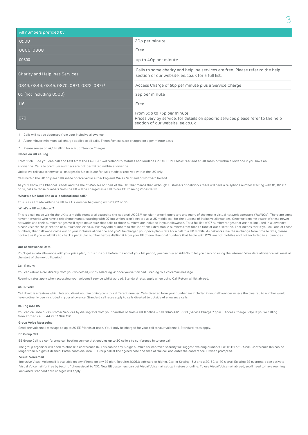| All numbers prefixed by                               |                                                                                                                                                     |
|-------------------------------------------------------|-----------------------------------------------------------------------------------------------------------------------------------------------------|
| 0500                                                  | 20p per minute                                                                                                                                      |
| 0800, 0808                                            | Free                                                                                                                                                |
| 00800                                                 | up to 40p per minute                                                                                                                                |
| Charity and Helplines Services <sup>1</sup>           | Calls to some charity and helpline services are free. Please refer to the help<br>section of our website, ee.co.uk for a full list.                 |
| 0843, 0844, 0845, 0870, 0871, 0872, 0873 <sup>3</sup> | Access Charge of 50p per minute plus a Service Charge                                                                                               |
| 05 (not including 0500)                               | 35p per minute                                                                                                                                      |
| 116                                                   | Free                                                                                                                                                |
| 070                                                   | From 35p to 75p per minute<br>Prices vary by service, for details on specific services please refer to the help<br>section of our website, ee.co.uk |

1 Calls will not be deducted from your inclusive allowance.

2 A one minute minimum call charge applies to all calls. Thereafter, calls are charged on a per minute basis.

3 Please see ee.co.uk/ukcalling for a list of Service Charges.

#### **Notes on UK calling**

From 15th June you can call and text from the EU/EEA/Switzerland to mobiles and landlines in UK, EU/EEA/Switzerland at UK rates or within allowance if you have an allowance. Calls to premium numbers are not permitted within allowance.

Unless we tell you otherwise, all charges for UK calls are for calls made or received within the UK only.

Calls within the UK only are calls made or received in either England, Wales, Scotland or Northern Ireland.

As you'll know, the Channel Islands and the Isle of Man are not part of the UK. That means that, although customers of networks there will have a telephone number starting with 01, 02, 03 or 07, calls to those numbers from the UK will be charged as a call to our EE Roaming Zones 1a-2b.

#### **What's a UK land-line or a local/national call?**

This is a call made within the UK to a UK number beginning with 01, 02 or 03.

#### **What's a UK mobile call?**

This is a call made within the UK to a mobile number allocated to the national UK GSM cellular network operators and many of the mobile virtual network operators ('MVNOs'). There are some newer networks who have a telephone number starting with 07 but which aren't treated as a UK mobile call for the purpose of inclusive allowances. Once we become aware of these newer networks and their number ranges we'll try to make sure that calls to those numbers are included in your allowance. For a full list of 07 number ranges that are not included in allowances please visit the 'help' section of our website, ee.co.uk We may add numbers to the list of excluded mobile numbers from time to time at our discretion. That means that if you call one of those numbers, that call won't come out of your inclusive allowance and you'll be charged your price plan's rate for a call to a UK mobile. As networks like these change from time to time, please<br>contact us if you would like to

#### **Out of Allowance Data**

You'll get a data allowance with your price plan, if this runs out before the end of your bill period, you can buy an Add-On to let you carry on using the internet. Your data allowance will reset at the start of the next bill period.

#### **Call Return**

You can return a call directly from your voicemail just by selecting '#' once you've finished listening to a voicemail message.

Roaming rates apply when accessing your voicemail service whilst abroad. Standard rates apply when using Call Return whilst abroad.

#### **Call Divert**

Call divert is a feature which lets you divert your incoming calls to a different number. Calls diverted from your number are included in your allowances where the diverted to number would have ordinarily been included in your allowance. Standard call rates apply to calls diverted to outside of allowance calls.

#### **Calling into CS**

You can call into our Customer Services by dialling 150 from your handset or from a UK landline – call 0845 412 5000 (Service Charge 7 ppm + Access Charge 50p). If you're calling from abroad call +44 7953 966 150.

#### **Group Voice Messaging**

Send one voicemail message to up to 20 EE friends at once. You'll only be charged for your call to your voicemail. Standard rates apply.

#### **EE Group Call**

EE Group Call is a conference call hosting service that enables up to 20 callers to conference in to one call.

The group organiser will need to choose a conference ID. This can be any 6 digit number, for improved security we suggest avoiding numbers like 111111 or 123456. Conference IDs can be longer than 6 digits if desired. Participants dial into EE Group call at the agreed date and time of the call and enter the conference ID when prompted.

#### **Visual Voicemail**

Inclusive Visual Voicemail is available on any iPhone on any EE plan. Requires iOS6.0 software or higher, Carrier Setting 13.2 and a 2G, 3G or 4G signal. Existing EE customers can activate Visual Voicemail for free by texting 'iphonevisual' to 150. New EE customers can get Visual Voicemail set up in-store or online. To use Visual Voicemail abroad, you'll need to have roaming activated: standard data charges will apply.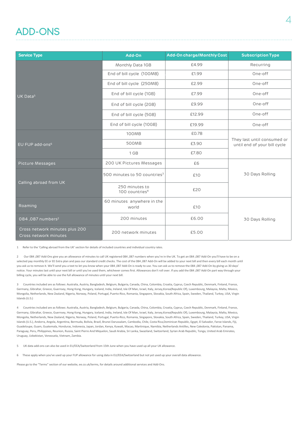### ADD-ONS

| <b>Service Type</b>                                     | Add-On                                       | Add-On charge/Monthly Cost | <b>Subscription Type</b>                                    |  |
|---------------------------------------------------------|----------------------------------------------|----------------------------|-------------------------------------------------------------|--|
|                                                         | Monthly Data 1GB                             | £4.99                      | Recurring                                                   |  |
|                                                         | End of bill cycle (100MB)                    | £1.99                      | One-off                                                     |  |
|                                                         | End of bill cycle (250MB)                    | £2.99                      | One-off                                                     |  |
| UK Data <sup>5</sup>                                    | End of bill cycle (1GB)                      | £7.99                      | One-off                                                     |  |
|                                                         | End of bill cycle (2GB)                      | £9.99                      | One-off                                                     |  |
|                                                         | End of bill cycle (5GB)                      | £12.99                     | One-off                                                     |  |
|                                                         | End of bill cycle (10GB)                     | £19.99                     | One-off                                                     |  |
|                                                         | <b>100MB</b>                                 | £0.78                      | They last until consumed or<br>until end of your bill cycle |  |
| EU FUP add-ons <sup>6</sup>                             | 500MB                                        | £3.90                      |                                                             |  |
|                                                         | 1 GB<br>£7.80                                |                            |                                                             |  |
| <b>Picture Messages</b>                                 | 200 UK Pictures Messages                     | £6                         |                                                             |  |
|                                                         | 500 minutes to 50 countries <sup>3</sup>     | £10                        | 30 Days Rolling                                             |  |
| Calling abroad from UK                                  | 250 minutes to<br>100 countries <sup>4</sup> | £20                        |                                                             |  |
| Roaming                                                 | 60 minutes anywhere in the<br>world          | £10                        |                                                             |  |
| 084,087 numbers <sup>2</sup>                            | 200 minutes                                  | £6.00                      | 30 Days Rolling                                             |  |
| Cross network minutes plus 200<br>Cross network minutes | 200 network minutes                          | £5.00                      |                                                             |  |

1 Refer to the 'Calling abroad from the UK' section for details of included countries and individual country rates.

2 Our 084 ,087 Add-Ons give you an allowance of minutes to call UK registered 084 ,087 numbers when you're in the UK. To get an 084 ,087 Add-On you'll have to be on a selected pay monthly EE or EE Extra plan and pass our standard credit checks. The cost of the 084 ,087 Add-On will be added to your next bill and then every bill each month until you ask us to remove it. We'll send you a text to let you know when your 084 ,087 Add-On is ready to use. You can ask us to remove the 084 ,087 Add-On by giving us 30 days' notice. Your minutes last until your next bill or until you've used them, whichever comes first. Allowances don't roll over. If you add the 084 ,087 Add-On part way through your billing cycle, you will be able to use the full allowance of minutes until your next bill.

3 Countries included are as follows: Australia, Austria, Bangladesh, Belgium, Bulgaria, Canada, China, Colombia, Croatia, Cyprus, Czech Republic, Denmark, Finland, France, Germany, Gibraltar, Greece, Guernsey, Hong Kong, Hungary, Iceland, India, Ireland, Isle Of Man, Israel, Italy, Jersey,Korea(Republic Of), Luxembourg, Malaysia, Malta, Mexico, Mongolia, Netherlands, New Zealand, Nigeria, Norway, Poland, Portugal, Puerto-Rico, Romania, Singapore, Slovakia, South Africa, Spain, Sweden, Thailand, Turkey, USA, Virgin Islands (U.S.)

4 Countries included are as follows: Australia, Austria, Bangladesh, Belgium, Bulgaria, Canada, China, Colombia, Croatia, Cyprus, Czech Republic, Denmark, Finland, France, Germany, Gibraltar, Greece, Guernsey, Hong Kong, Hungary, Iceland, India, Ireland, Isle Of Man, Israel, Italy, Jersey, Korea(Republic Of), Luxembourg, Malaysia, Malta, Mexico, Mongolia, Netherlands, New Zealand, Nigeria, Norway, Poland, Portugal, Puerto-Rico, Romania, Singapore, Slovakia, South Africa, Spain, Sweden, Thailand, Turkey, USA, Virgin Islands (U.S.), Andorra, Angola, Argentina, Bermuda, Bolivia, Brazil, Brunei Darussalam, Cambodia, Chile, Costa Rica,Dominican Republic, Egypt, El Salvador, Faroe Islands, Fiji, Guadeloupe, Guam, Guatemala, Honduras, Indonesia, Japan, Jordan, Kenya, Kuwait, Macao, Martinique, Namibia, Netherlands Antilles, New Caledonia, Pakistan, Panama, Paraguay, Peru, Philippines, Reunion, Russia, Saint Pierre And Miquelon, Saudi Arabia, Sri Lanka, Swaziland, Switzerland, Syrian Arab Republic, Tonga, United Arab Emirates, Uruguay, Uzbekistan, Venezuela, Vietnam, Zambia.

5 UK data add-ons can also be used in EU/EEA/Switzerland from 15th June when you have used up all your UK allowance.

6 These apply when you've used up your FUP allowance for using data in EU/EEA/Switzerland but not yet used up your overall data allowance.

Please go to the "Terms" section of our website, ee.co.uk/terms, for details around additional services and Add-Ons.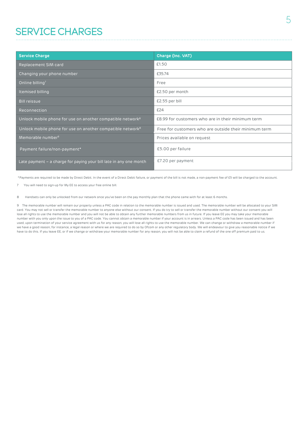### SERVICE CHARGES

| <b>Service Charge</b>                                                  | <b>Charge (Inc. VAT)</b>                              |
|------------------------------------------------------------------------|-------------------------------------------------------|
| Replacement SIM card                                                   | £1.50                                                 |
| Changing your phone number                                             | £35.74                                                |
| Online billing <sup>7</sup>                                            | Free                                                  |
| Itemised billing                                                       | £2.50 per month                                       |
| <b>Bill reissue</b>                                                    | £2.55 per bill                                        |
| Reconnection                                                           | £24                                                   |
| Unlock mobile phone for use on another compatible network <sup>8</sup> | £8.99 for customers who are in their minimum term     |
| Unlock mobile phone for use on another compatible network <sup>8</sup> | Free for customers who are outside their minimum term |
| Memorable number <sup>9</sup>                                          | Prices available on request                           |
| Payment failure/non-payment*                                           | £5.00 per failure                                     |
| Late payment – a charge for paying your bill late in any one month     | £7.20 per payment                                     |

\*Payments are required to be made by Direct Debit. In the event of a Direct Debit failure, or payment of the bill is not made, a non-payment fee of £5 will be charged to the account.

7 You will need to sign-up for My EE to access your free online bill.

8 Handsets can only be unlocked from our network once you've been on the pay monthly plan that the phone came with for at least 6 months.

9 The memorable number will remain our property unless a PAC code in relation to the memorable number is issued and used. The memorable number will be allocated to your SIM card. You may not sell or transfer the memorable number to anyone else without our consent. If you do try to sell or transfer the memorable number without our consent you will lose all rights to use the memorable number and you will not be able to obtain any further memorable numbers from us in future. If you leave EE you may take your memorable number with you only upon the issue to you of a PAC code. You cannot obtain a memorable number if your account is in arrears. Unless a PAC code has been issued and has been used, upon termination of your service agreement with us for any reason, you will lose all rights to use the memorable number. We can change or withdraw a memorable number if we have a good reason, for instance, a legal reason or where we are required to do so by Ofcom or any other regulatory body. We will endeavour to give you reasonable notice if we have to do this. If you leave EE, or if we change or withdraw your memorable number for any reason, you will not be able to claim a refund of the one off premium paid to us.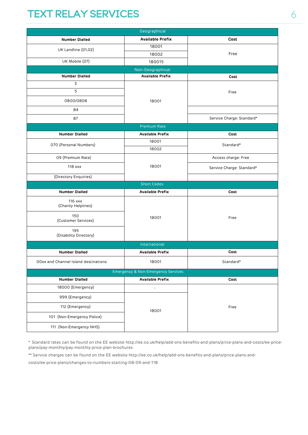### TEXT RELAY SERVICES 6

| Geographical                         |                                               |                           |  |  |  |
|--------------------------------------|-----------------------------------------------|---------------------------|--|--|--|
| <b>Number Dialled</b>                | <b>Available Prefix</b>                       | Cost                      |  |  |  |
| UK Landline (01,02)                  | 18001                                         |                           |  |  |  |
|                                      | 18002                                         | Free                      |  |  |  |
| UK Mobile (07)                       | 180015                                        |                           |  |  |  |
|                                      | Non-Geographical                              |                           |  |  |  |
| <b>Number Dialled</b>                | <b>Available Prefix</b>                       | Cost                      |  |  |  |
| 3                                    |                                               |                           |  |  |  |
| 5                                    |                                               | Free                      |  |  |  |
| 0800/0808                            | 18001                                         |                           |  |  |  |
| 84                                   |                                               |                           |  |  |  |
| 87                                   |                                               | Service Charge: Standard* |  |  |  |
|                                      | <b>Premium Rate</b>                           |                           |  |  |  |
| <b>Number Dialled</b>                | <b>Available Prefix</b>                       | Cost                      |  |  |  |
| 070 (Personal Numbers)               | 18001                                         | Standard*                 |  |  |  |
|                                      | 18002                                         |                           |  |  |  |
| 09 (Premium Rate)                    |                                               | Access charge: Free       |  |  |  |
| $118$ xxx                            | 18001                                         | Service Charge: Standard* |  |  |  |
| (Directory Enquiries)                |                                               |                           |  |  |  |
|                                      | <b>Short Codes</b>                            |                           |  |  |  |
| <b>Number Dialled</b>                | <b>Available Prefix</b>                       | Cost                      |  |  |  |
| $116$ xxx<br>(Charity Helplines)     |                                               |                           |  |  |  |
| 150<br>(Customer Services)           | 18001                                         | Free                      |  |  |  |
| 195<br>(Disability Directory)        |                                               |                           |  |  |  |
|                                      | International                                 |                           |  |  |  |
| <b>Number Dialled</b>                | <b>Available Prefix</b>                       | Cost                      |  |  |  |
| OOxx and Channel Island destinations | 18001                                         | Standard*                 |  |  |  |
|                                      | <b>Emergency &amp; Non-Emergency Services</b> |                           |  |  |  |
| <b>Number Dialled</b>                | <b>Available Prefix</b>                       | Cost                      |  |  |  |
| 18000 (Emergency)                    | $\overline{\phantom{a}}$                      |                           |  |  |  |
| 999 (Emergency)                      |                                               |                           |  |  |  |
| 112 (Emergency)                      | 18001                                         | Free                      |  |  |  |
| 101 (Non-Emergency Police)           |                                               |                           |  |  |  |
| 111 (Non-Emergency NHS)              |                                               |                           |  |  |  |

\* Standard rates can be found on the EE website http://ee.co.uk/help/add-ons-benefits-and-plans/price-plans-and-costs/ee-priceplans/pay-monthly/pay-monthly-price-plan-brochures

\*\* Service charges can be found on the EE website http://ee.co.uk/help/add-ons-benefits-and-plans/price-plans-and-

costs/ee-price-plans/changes-to-numbers-starting-08-09-and-118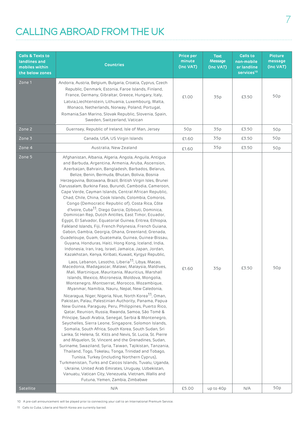### CALLING ABROAD FROM THE UK

| <b>Calls &amp; Texts to</b><br>landlines and<br>mobiles within<br>the below zones | <b>Countries</b>                                                                                                                                                                                                                                                                                                                                                                                                                                                                                                                                                                                                                                                                                                                                                                                                                                                                                                                                                                                                                                                                                                                                                                                                                                                                                                                                                                                                                                                                                                                                                                                                                                                                                                                                                                                                                                                                                                                                                                                                                                                                                                                                                                                                                                                                                                                    | Price per<br>minute<br>(Inc VAT) | <b>Text</b><br><b>Message</b><br>(Inc VAT) | <b>Calls to</b><br>non-mobile<br>or landline<br>services <sup>10</sup> | <b>Picture</b><br>message<br>(Inc VAT) |
|-----------------------------------------------------------------------------------|-------------------------------------------------------------------------------------------------------------------------------------------------------------------------------------------------------------------------------------------------------------------------------------------------------------------------------------------------------------------------------------------------------------------------------------------------------------------------------------------------------------------------------------------------------------------------------------------------------------------------------------------------------------------------------------------------------------------------------------------------------------------------------------------------------------------------------------------------------------------------------------------------------------------------------------------------------------------------------------------------------------------------------------------------------------------------------------------------------------------------------------------------------------------------------------------------------------------------------------------------------------------------------------------------------------------------------------------------------------------------------------------------------------------------------------------------------------------------------------------------------------------------------------------------------------------------------------------------------------------------------------------------------------------------------------------------------------------------------------------------------------------------------------------------------------------------------------------------------------------------------------------------------------------------------------------------------------------------------------------------------------------------------------------------------------------------------------------------------------------------------------------------------------------------------------------------------------------------------------------------------------------------------------------------------------------------------------|----------------------------------|--------------------------------------------|------------------------------------------------------------------------|----------------------------------------|
| Zone 1                                                                            | Andorra, Austria, Belgium, Bulgaria, Croatia, Cyprus, Czech<br>Republic, Denmark, Estonia, Faroe Islands, Finland,<br>France, Germany, Gibraltar, Greece, Hungary, Italy,<br>Latvia, Liechtenstein, Lithuania, Luxembourg, Malta,<br>Monaco, Netherlands, Norway, Poland, Portugal,<br>Romania, San Marino, Slovak Republic, Slovenia, Spain,<br>Sweden, Switzerland, Vatican                                                                                                                                                                                                                                                                                                                                                                                                                                                                                                                                                                                                                                                                                                                                                                                                                                                                                                                                                                                                                                                                                                                                                                                                                                                                                                                                                                                                                                                                                                                                                                                                                                                                                                                                                                                                                                                                                                                                                       | £1.00                            | 35p                                        | £3.50                                                                  | 50p                                    |
| Zone 2                                                                            | Guernsey, Republic of Ireland, Isle of Man, Jersey                                                                                                                                                                                                                                                                                                                                                                                                                                                                                                                                                                                                                                                                                                                                                                                                                                                                                                                                                                                                                                                                                                                                                                                                                                                                                                                                                                                                                                                                                                                                                                                                                                                                                                                                                                                                                                                                                                                                                                                                                                                                                                                                                                                                                                                                                  | 50p                              | 35p                                        | £3.50                                                                  | 50p                                    |
| Zone 3                                                                            | Canada, USA, US Virgin Islands                                                                                                                                                                                                                                                                                                                                                                                                                                                                                                                                                                                                                                                                                                                                                                                                                                                                                                                                                                                                                                                                                                                                                                                                                                                                                                                                                                                                                                                                                                                                                                                                                                                                                                                                                                                                                                                                                                                                                                                                                                                                                                                                                                                                                                                                                                      | £1.60                            | 35p                                        | £3.50                                                                  | 50p                                    |
| Zone 4                                                                            | Australia, New Zealand                                                                                                                                                                                                                                                                                                                                                                                                                                                                                                                                                                                                                                                                                                                                                                                                                                                                                                                                                                                                                                                                                                                                                                                                                                                                                                                                                                                                                                                                                                                                                                                                                                                                                                                                                                                                                                                                                                                                                                                                                                                                                                                                                                                                                                                                                                              | £1.60                            | 35p                                        | £3.50                                                                  | 50p                                    |
| Zone 5                                                                            | Afghanistan, Albania, Algeria, Angola, Anguila, Antigua<br>and Barbuda, Argentina, Armenia, Aruba, Ascension,<br>Azerbaijan, Bahrain, Bangladesh, Barbados, Belarus,<br>Belize, Benin, Bermuda, Bhutan, Bolivia, Bosnia<br>Herzegovina, Botswana, Brazil, British Virgin Isles, Brunei<br>Darussalam, Burkina Faso, Burundi, Cambodia, Cameroon,<br>Cape Verde, Cayman Islands, Central African Republic,<br>Chad, Chile, China, Cook Islands, Colombia, Comoros,<br>Congo (Democratic Republic of), Costa Rica, Côte<br>d'Ivoire, Cuba <sup>11</sup> , Diego Garcia, Djibouti, Dominica,<br>Dominican Rep, Dutch Antilles, East Timor, Ecuador,<br>Egypt, El Salvador, Equatorial Guinea, Eritrea, Ethiopia,<br>Falkland Islands, Fiji, French Polynesia, French Guiana,<br>Gabon, Gambia, Georgia, Ghana, Greenland, Grenada,<br>Guadeloupe, Guam, Guatemala, Guinea, Guinea-Bissau,<br>Guyana, Honduras, Haiti, Hong Kong, Iceland, India,<br>Indonesia, Iran, Iraq, Israel, Jamaica, Japan, Jordan,<br>Kazakhstan, Kenya, Kiribati, Kuwait, Kyrgyz Republic,<br>Laos, Lebanon, Lesotho, Liberia <sup>11</sup> , Libya, Macao,<br>Macedonia, Madagascar, Malawi, Malaysia, Maldives,<br>Mali, Martinique, Mauritania, Mauritius, Marshall<br>Islands, Mexico, Micronesia, Moldova, Mongolia,<br>Montenegro, Montserrat, Morocco, Mozambique,<br>Myanmar, Namibia, Nauru, Nepal, New Caledonia,<br>Nicaragua, Niger, Nigeria, Niue, North Korea <sup>11</sup> , Oman,<br>Pakistan, Palau, Palestinian Authority, Panama, Papua<br>New Guinea, Paraguay, Peru, Philippines, Puerto Rico,<br>Qatar, Reunion, Russia, Rwanda, Samoa, São Tomé &<br>Príncipe, Saudi Arabia, Senegal, Serbia & Montenegro,<br>Seychelles, Sierra Leone, Singapore, Solomon Islands,<br>Somalia, South Africa, South Korea, South Sudan, Sri<br>Lanka, St Helena, St. Kitts and Nevis, St. Lucia, St. Pierre<br>and Miquelon, St. Vincent and the Grenadines, Sudan,<br>Suriname, Swaziland, Syria, Taiwan, Tajikistan, Tanzania,<br>Thailand, Togo, Tokelau, Tonga, Trinidad and Tobago,<br>Tunisia, Turkey (including Northern Cyprus),<br>Turkmenistan, Turks and Caicos Islands, Tuvalu, Uganda,<br>Ukraine, United Arab Emirates, Uruguay, Uzbekistan,<br>Vanuatu, Vatican City, Venezuela, Vietnam, Wallis and<br>Futuna, Yemen, Zambia, Zimbabwe | £1.60                            | 35p                                        | £3.50                                                                  | 50p                                    |
| Satellite                                                                         | N/A                                                                                                                                                                                                                                                                                                                                                                                                                                                                                                                                                                                                                                                                                                                                                                                                                                                                                                                                                                                                                                                                                                                                                                                                                                                                                                                                                                                                                                                                                                                                                                                                                                                                                                                                                                                                                                                                                                                                                                                                                                                                                                                                                                                                                                                                                                                                 | £5.00                            | up to 40p                                  | N/A                                                                    | 50p                                    |

10 A pre-call announcement will be played prior to connecting your call to an International Premium Service.

11 Calls to Cuba, Liberia and North Korea are currently barred.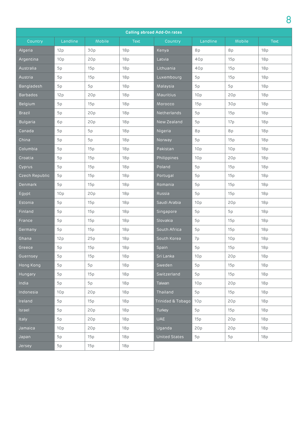|                 | <b>Calling abroad Add-On rates</b> |        |             |                   |          |                 |             |  |
|-----------------|------------------------------------|--------|-------------|-------------------|----------|-----------------|-------------|--|
| Country         | Landline                           | Mobile | <b>Text</b> | Country           | Landline | Mobile          | <b>Text</b> |  |
| Algeria         | 12p                                | 30p    | 18p         | Kenya             | 8p       | 8p              | 18p         |  |
| Argentina       | 10 <sub>p</sub>                    | 20p    | 18p         | Latvia            | 40p      | 15p             | 18p         |  |
| Australia       | 5p                                 | 15p    | 18p         | Lithuania         | 40p      | 15p             | 18p         |  |
| Austria         | 5p                                 | 15p    | 18p         | Luxembourg        | 5p       | 15p             | 18p         |  |
| Bangladesh      | 5p                                 | 5p     | 18p         | Malaysia          | 5p       | 5p              | 18p         |  |
| <b>Barbados</b> | 12p                                | 20p    | 18p         | Mauritius         | 10p      | 20p             | 18p         |  |
| Belgium         | 5p                                 | 15p    | 18p         | Morocco           | 15p      | 30p             | 18p         |  |
| <b>Brazil</b>   | 5p                                 | 20p    | 18p         | Netherlands       | 5p       | 15p             | 18p         |  |
| <b>Bulgaria</b> | 6p                                 | 20p    | 18p         | New Zealand       | 5p       | 17p             | 18p         |  |
| Canada          | 5p                                 | 5p     | 18p         | Nigeria           | 8p       | 8p              | 18p         |  |
| China           | 5p                                 | 5p     | 18p         | Norway            | 5p       | 15p             | 18p         |  |
| Columbia        | 5p                                 | 15p    | 18p         | Pakistan          | 10p      | 10 <sub>p</sub> | 18p         |  |
| Croatia         | 5p                                 | 15p    | 18p         | Philippines       | 10p      | 20p             | 18p         |  |
| Cyprus          | 5p                                 | 15p    | 18p         | Poland            | 5p       | 15p             | 18p         |  |
| Czech Republic  | 5p                                 | 15p    | 18p         | Portugal          | 5p       | 15p             | 18p         |  |
| <b>Denmark</b>  | 5p                                 | 15p    | 18p         | Romania           | 5p       | 15p             | 18p         |  |
| Egypt           | 10p                                | 20p    | 18p         | Russia            | 5p       | 15p             | 18p         |  |
| Estonia         | 5p                                 | 15p    | 18p         | Saudi Arabia      | 10p      | 20p             | 18p         |  |
| Finland         | 5p                                 | 15p    | 18p         | Singapore         | 5p       | 5p              | 18p         |  |
| France          | 5p                                 | 15p    | 18p         | Slovakia          | 5p       | 15p             | 18p         |  |
| Germany         | 5p                                 | 15p    | 18p         | South Africa      | 5p       | 15p             | 18p         |  |
| Ghana           | 12p                                | 25p    | 18p         | South Korea       | 7p       | 10 <sub>p</sub> | 18p         |  |
| Greece          | 5p                                 | 15p    | 18p         | Spain             | 5p       | 15p             | 18p         |  |
| Guernsey        | 5p                                 | 15p    | 18p         | Sri Lanka         | 10p      | 20p             | 18p         |  |
| Hong Kong       | 5p                                 | 5p     | 18p         | Sweden            | 5p       | 15p             | 18p         |  |
| Hungary         | 5p                                 | 15p    | 18p         | Switzerland       | 5p       | 15p             | 18p         |  |
| India           | 5p                                 | 5p     | 18p         | Taiwan            | 10p      | 20p             | 18p         |  |
| Indonesia       | 10 <sub>p</sub>                    | 20p    | 18p         | Thailand          | 5p       | 15p             | 18p         |  |
| Ireland         | 5p                                 | 15p    | 18p         | Trinidad & Tobago | 10p      | 20p             | 18p         |  |
| Israel          | 5p                                 | 20p    | 18p         | Turkey            | 5p       | 15p             | 18p         |  |
| Italy           | 5p                                 | 20p    | 18p         | <b>UAE</b>        | 15p      | 20p             | 18p         |  |
| Jamaica         | 10 <sub>p</sub>                    | 20p    | 18p         | Uganda            | 20p      | 20p             | 18p         |  |
| Japan           | 5p                                 | 15p    | 18p         | United States     | 5p       | 5p              | 18p         |  |
| Jersey          | 5p                                 | 15p    | 18p         |                   |          |                 |             |  |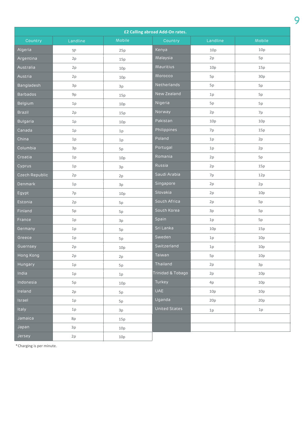| £2 Calling abroad Add-On rates. |          |        |                   |          |        |  |
|---------------------------------|----------|--------|-------------------|----------|--------|--|
| Country                         | Landline | Mobile | Country           | Landline | Mobile |  |
| Algeria                         | 5P       | 25p    | Kenya             | 10p      | 10p    |  |
| Argentina                       | 2p       | 15p    | Malaysia          | 2p       | 5p     |  |
| Australia                       | 2p       | 10p    | Mauritius         | 10p      | 15p    |  |
| Austria                         | 2p       | 10p    | Morocco           | 5p       | 30p    |  |
| Bangladesh                      | 3p       | 3p     | Netherlands       | 5p       | 5p     |  |
| <b>Barbados</b>                 | 9p       | 15p    | New Zealand       | 1p       | 5p     |  |
| Belgium                         | 1p       | 10p    | Nigeria           | 5p       | 5p     |  |
| <b>Brazil</b>                   | 2p       | 15p    | Norway            | 2p       | 7p     |  |
| <b>Bulgaria</b>                 | 1p       | 10p    | Pakistan          | 10p      | 10p    |  |
| Canada                          | 1p       | 1p     | Philippines       | 7p       | 15p    |  |
| China                           | 1p       | 1p     | Poland            | 1p       | 2p     |  |
| Columbia                        | 3p       | 5p     | Portugal          | 1p       | 2p     |  |
| Croatia                         | $1p$     | 10p    | Romania           | 2p       | 5p     |  |
| Cyprus                          | 1p       | 3p     | Russia            | 2p       | 15p    |  |
| Czech Republic                  | 2p       | 2p     | Saudi Arabia      | 7p       | 12p    |  |
| Denmark                         | 1p       | 3p     | Singapore         | 2p       | 2p     |  |
| Egypt                           | 7p       | 10p    | Slovakia          | 2p       | 10p    |  |
| Estonia                         | 2p       | 5p     | South Africa      | 2p       | 5p     |  |
| Finland                         | 5p       | 5p     | South Korea       | 3p       | 5p     |  |
| France                          | 1p       | 3p     | Spain             | 1p       | 5p     |  |
| Germany                         | 1p       | 5p     | Sri Lanka         | 10p      | 15p    |  |
| Greece                          | 1p       | 5p     | Sweden            | $1p$     | 10p    |  |
| Guernsey                        | 2p       | 10p    | Switzerland       | 1p       | 10p    |  |
| Hong Kong                       | 2p       | 2p     | Taiwan            | 5p       | 10p    |  |
| Hungary                         | 1p       | 5p     | Thailand          | 2p       | 3p     |  |
| India                           | 1p       | $1p$   | Trinidad & Tobago | 2p       | 10p    |  |
| Indonesia                       | 5p       | 10p    | Turkey            | 4p       | 10p    |  |
| Ireland                         | 2p       | 5p     | <b>UAE</b>        | 10p      | 10p    |  |
| Israel                          | 1p       | 5p     | Uganda            | 20p      | 20p    |  |
| Italy                           | 1p       | 3p     | United States     | 1p       | 1p     |  |
| Jamaica                         | 8p       | 15p    |                   |          |        |  |
| Japan                           | 3p       | 10p    |                   |          |        |  |
| Jersey                          | 2p       | 10p    |                   |          |        |  |

\*Charging is per minute.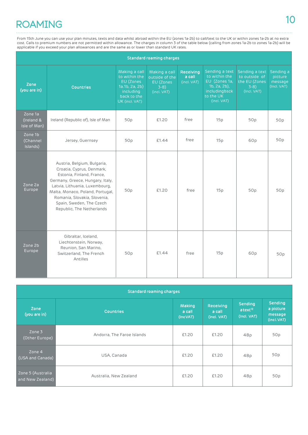## <sup>10</sup> ROAMING

From 15th June you can use your plan minutes, texts and data whilst abroad within the EU (zones 1a-2b) to call/text to the UK or within zones 1a-2b at no extra cost. Calls to premium numbers are not permitted within allowance. The charges in column 3 of the table below (calling from zones 1a-2b to zones 1a-2b) will be applicable if you exceed your plan allowances and are the same as or lower than standard UK rates.

|                                       | <b>Standard roaming charges</b>                                                                                                                                                                                                                                                          |                                                                                                             |                                                                      |                                           |                                                                                                                  |                                                                          |                                                |  |
|---------------------------------------|------------------------------------------------------------------------------------------------------------------------------------------------------------------------------------------------------------------------------------------------------------------------------------------|-------------------------------------------------------------------------------------------------------------|----------------------------------------------------------------------|-------------------------------------------|------------------------------------------------------------------------------------------------------------------|--------------------------------------------------------------------------|------------------------------------------------|--|
| Zone<br>(you are in)                  | <b>Countries</b>                                                                                                                                                                                                                                                                         | Making a call<br>to within the<br>EU (Zones<br>1a.1b, 2a, 2b)<br>including<br>back to the<br>UK (incl. VAT) | Making a call<br>outside of the<br>EU (Zones<br>$3-8$<br>(incl. VAT) | <b>Receiving</b><br>a call<br>(incl. VAT) | Sending a text<br>to within the<br>EU (Zones 1a,<br>$1b, 2a, 2b)$ ,<br>includingbsck<br>to the UK<br>(Incl. VAT) | Sending a text<br>to outside of<br>the EU (Zones<br>$3-8$<br>(Incl. VAT) | Sending a<br>picture<br>message<br>(Incl. VAT) |  |
| Zone 1a<br>(Ireland &<br>Isle of Man) | Ireland (Republic of), Isle of Man                                                                                                                                                                                                                                                       | 50 <sub>p</sub>                                                                                             | £1.20                                                                | free                                      | 15p                                                                                                              | 50p                                                                      | 50p                                            |  |
| Zone 1b<br>(Channel<br>Islands)       | Jersey, Guernsey                                                                                                                                                                                                                                                                         | 50p                                                                                                         | £1.44                                                                | free                                      | 15p                                                                                                              | 60 <sub>p</sub>                                                          | 50p                                            |  |
| Zone 2a<br>Europe                     | Austria, Belgium, Bulgaria,<br>Croatia, Cyprus, Denmark,<br>Estonia, Finland, France,<br>Germany, Greece, Hungary, Italy,<br>Latvia, Lithuania, Luxembourg,<br>Malta, Monaco, Poland, Portugal,<br>Romania, Slovakia, Slovenia,<br>Spain, Sweden, The Czech<br>Republic, The Netherlands | 50p                                                                                                         | £1.20                                                                | free                                      | 15p                                                                                                              | 50p                                                                      | 50p                                            |  |
| Zone 2b<br>Europe                     | Gibraltar, Iceland,<br>Liechtenstein, Norway,<br>Reunion, San Marino,<br>Switzerland, The French<br>Antilles                                                                                                                                                                             | 50p                                                                                                         | £1.44                                                                | free                                      | 15p                                                                                                              | 60p                                                                      | 50p                                            |  |

| <b>Standard roaming charges</b>       |                            |                              |                                    |                                                      |                                                      |  |  |
|---------------------------------------|----------------------------|------------------------------|------------------------------------|------------------------------------------------------|------------------------------------------------------|--|--|
| Zone<br>(you are in)                  | <b>Countries</b>           | Making<br>a call<br>(IncVAT) | Receiving<br>a call<br>(Incl. VAT) | <b>Sending</b><br>atext <sup>12</sup><br>(Incl. VAT) | <b>Sending</b><br>a picture<br>message<br>(Incl.VAT) |  |  |
| Zone 3<br>(Other Europe)              | Andorra, The Faroe Islands | £1.20                        | £1.20                              | 48p                                                  | 50p                                                  |  |  |
| Zone 4<br>(USA and Canada)            | USA, Canada                | £1.20                        | £1.20                              | 48p                                                  | 50p                                                  |  |  |
| Zone 5 (Australia<br>and New Zealand) | Australia, New Zealand     | £1.20                        | £1.20                              | 48p                                                  | 50p                                                  |  |  |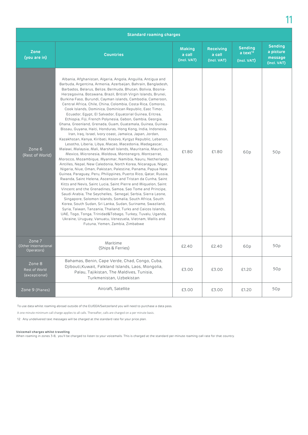| <b>Standard roaming charges</b>              |                                                                                                                                                                                                                                                                                                                                                                                                                                                                                                                                                                                                                                                                                                                                                                                                                                                                                                                                                                                                                                                                                                                                                                                                                                                                                                                                                                                                                                                                                                                                                                                                                                                                                                                                                                                                                                                                                                                               |                                        |                                           |                                                         |                                                       |  |  |
|----------------------------------------------|-------------------------------------------------------------------------------------------------------------------------------------------------------------------------------------------------------------------------------------------------------------------------------------------------------------------------------------------------------------------------------------------------------------------------------------------------------------------------------------------------------------------------------------------------------------------------------------------------------------------------------------------------------------------------------------------------------------------------------------------------------------------------------------------------------------------------------------------------------------------------------------------------------------------------------------------------------------------------------------------------------------------------------------------------------------------------------------------------------------------------------------------------------------------------------------------------------------------------------------------------------------------------------------------------------------------------------------------------------------------------------------------------------------------------------------------------------------------------------------------------------------------------------------------------------------------------------------------------------------------------------------------------------------------------------------------------------------------------------------------------------------------------------------------------------------------------------------------------------------------------------------------------------------------------------|----------------------------------------|-------------------------------------------|---------------------------------------------------------|-------------------------------------------------------|--|--|
| Zone<br>(you are in)                         | <b>Countries</b>                                                                                                                                                                                                                                                                                                                                                                                                                                                                                                                                                                                                                                                                                                                                                                                                                                                                                                                                                                                                                                                                                                                                                                                                                                                                                                                                                                                                                                                                                                                                                                                                                                                                                                                                                                                                                                                                                                              | <b>Making</b><br>a call<br>(Incl. VAT) | <b>Receiving</b><br>a call<br>(Incl. VAT) | <b>Sending</b><br>$a$ text <sup>12</sup><br>(Incl. VAT) | <b>Sending</b><br>a picture<br>message<br>(Incl. VAT) |  |  |
| Zone 6<br>(Rest of World)                    | Albania, Afghanistan, Algeria, Angola, Anguilla, Antigua and<br>Barbuda, Argentina, Armenia, Azerbaijan, Bahrain, Bangladesh,<br>Barbados, Belarus, Belize, Bermuda, Bhutan, Bolivia, Bosnia-<br>Herzegovina, Botswana, Brazil, British Virgin Islands, Brunei,<br>Burkina Faso, Burundi, Cayman islands, Cambodia, Cameroon,<br>Central Africa, Chile, China, Colombia, Costa Rica, Comoros,<br>Cook Islands, Dominica, Dominican Republic, East Timor,<br>Ecuador, Egypt, El Salvador, Equatorial Guinea, Eritrea,<br>Ethiopia, Fiji, French Polynesia, Gabon, Gambia, Georgia,<br>Ghana, Greenland, Grenada, Guam, Guatemala, Guinea, Guinea-<br>Bissau, Guyana, Haiti, Honduras, Hong Kong, India, Indonesia,<br>Iran, Iraq, Israel, Ivory coast, Jamaica, Japan, Jordan,<br>Kazakhstan, Kenya, Kiribati, Kosovo, Kyrgyz Republic, Lebanon,<br>Lesotho, Liberia, Libya, Macao, Macedonia, Madagascar,<br>Malawi, Malaysia, Mali, Marshall Islands, Mauritania, Mauritius,<br>Mexico, Micronesia, Moldova, Montenegro, Montserrat,<br>Morocco, Mozambique, Myanmar, Namibia, Nauru, Netherlands<br>Antilles, Nepal, New Caledonia, North Korea, Nicaragua, Niger,<br>Nigeria, Niue, Oman, Pakistan, Palestine, Panama, Papua New<br>Guinea, Paraguay, Peru, Philippines, Puerto Rico, Qatar, Russia,<br>Rwanda, Saint Helena, Ascension and Tristan da Cunha, Saint<br>Kitts and Nevis, Saint Lucia, Saint Pierre and Miguelon, Saint<br>Vincent and the Grenadines, Samoa, Sao Tome and Principe,<br>Saudi Arabia, The Seychelles, Senegal, Serbia, Sierra Leone,<br>Singapore, Solomon Islands, Somalia, South Africa, South<br>Korea, South Sudan, Sri Lanka, Sudan, Suriname, Swaziland,<br>Syria, Taiwan, Tanzania, Thailand, Turks and Caicos Islands,<br>UAE, Togo, Tonga, Trinidad&Tobago, Turkey, Tuvalu, Uganda,<br>Ukraine, Uruguay, Vanuatu, Venezuela, Vietnam, Wallis and<br>Futuna, Yemen, Zambia, Zimbabwe | £1.80                                  | £1.80                                     | 60p                                                     | 50p                                                   |  |  |
| Zone 7<br>(Other International<br>Operators) | Maritime<br>(Ships & Ferries)                                                                                                                                                                                                                                                                                                                                                                                                                                                                                                                                                                                                                                                                                                                                                                                                                                                                                                                                                                                                                                                                                                                                                                                                                                                                                                                                                                                                                                                                                                                                                                                                                                                                                                                                                                                                                                                                                                 | £2.40                                  | £2.40                                     | 60p                                                     | 50p                                                   |  |  |
| Zone 8<br>Rest of World<br>(exceptional)     | Bahamas, Benin, Cape Verde, Chad, Congo, Cuba,<br>Djibouti, Kuwait, Falkland Islands, Laos, Mongolia,<br>Palau, Tajikistan, The Maldives, Tunisia,<br>Turkmenistan, Uzbekistan                                                                                                                                                                                                                                                                                                                                                                                                                                                                                                                                                                                                                                                                                                                                                                                                                                                                                                                                                                                                                                                                                                                                                                                                                                                                                                                                                                                                                                                                                                                                                                                                                                                                                                                                                | £3.00                                  | £3.00                                     | £1.20                                                   | 50p                                                   |  |  |
| Zone 9 (Planes)                              | Aircraft, Satellite                                                                                                                                                                                                                                                                                                                                                                                                                                                                                                                                                                                                                                                                                                                                                                                                                                                                                                                                                                                                                                                                                                                                                                                                                                                                                                                                                                                                                                                                                                                                                                                                                                                                                                                                                                                                                                                                                                           | £3.00                                  | £3.00                                     | £1.20                                                   | 50p                                                   |  |  |

To use data whilst roaming abroad outside of the EU/EEA/Switzerland you will need to purchase a data pass.

A one minute minimum call charge applies to all calls. Thereafter, calls are charged on a per minute basis.

12 Any undelivered text messages will be charged at the standard rate for your price plan.

#### **Voicemail charges whilst travelling**

When roaming in zones 3-8, you'll be charged to listen to your voicemails. This is charged at the standard per-minute roaming call rate for that country.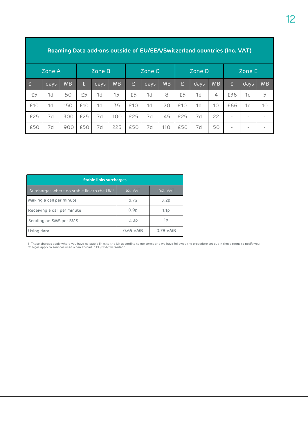| Roaming Data add-ons outside of EU/EEA/Switzerland countries (Inc. VAT) |      |           |     |      |           |     |      |           |     |      |                |     |                          |           |
|-------------------------------------------------------------------------|------|-----------|-----|------|-----------|-----|------|-----------|-----|------|----------------|-----|--------------------------|-----------|
| Zone A                                                                  |      | Zone B    |     |      | Zone C    |     |      | Zone D    |     |      | Zone E         |     |                          |           |
| E                                                                       | days | <b>MB</b> | £   | days | <b>MB</b> | £   | days | <b>MB</b> | £   | days | <b>MB</b>      | £   | days                     | <b>MB</b> |
| £5                                                                      | 1d   | 50        | £5  | 1d   | 15        | £5  | 1d   | 8         | £5  | 1d   | $\overline{4}$ | £36 | 1d                       | 5         |
| £10                                                                     | 1d   | 150       | £10 | 1d   | 35        | £10 | 1d   | 20        | £10 | 1d   | 10             | £66 | 1d                       | 10        |
| £25                                                                     | 7d   | 300       | £25 | 7d   | 100       | £25 | 7d   | 45        | £25 | 7d   | 22             |     | $\overline{\phantom{a}}$ |           |
| £50                                                                     | 7d   | 900       | £50 | 7d   | 225       | £50 | 7d   | 110       | £50 | 7d   | 50             |     |                          |           |

| <b>Stable links surcharges</b>                         |          |                       |  |  |  |
|--------------------------------------------------------|----------|-----------------------|--|--|--|
| Surcharges where no stable link to the UK <sup>1</sup> | ex. VAT  | incl. VAT             |  |  |  |
| Making a call per minute                               | 2.7p     | 3.2p                  |  |  |  |
| Receiving a call per minute                            | 0.9p     | 1.1p                  |  |  |  |
| Sending an SMS per SMS                                 | 0.8p     | 1p                    |  |  |  |
| Using data                                             | 0.65p/MB | 0.78 <sub>p</sub> /MB |  |  |  |

1 These charges apply where you have no stable links to the UK according to our terms and we have followed the procedure set out in those terms to notify you.<br>Charges apply to services used when abroad in EU/EEA/Switzerlan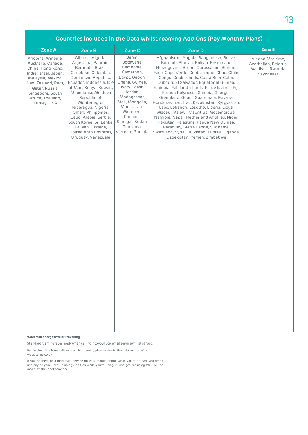| Countries included in the Data whilst roaming Add-Ons (Pay Monthly Plans)                                                                                                                                  |                                                                                                                                                                                                                                                                                                                                                                                            |                                                                                                                                                                                                                                        |                                                                                                                                                                                                                                                                                                                                                                                                                                                                                                                                                                                                                                                                                                                                                          |                                                                              |  |  |  |
|------------------------------------------------------------------------------------------------------------------------------------------------------------------------------------------------------------|--------------------------------------------------------------------------------------------------------------------------------------------------------------------------------------------------------------------------------------------------------------------------------------------------------------------------------------------------------------------------------------------|----------------------------------------------------------------------------------------------------------------------------------------------------------------------------------------------------------------------------------------|----------------------------------------------------------------------------------------------------------------------------------------------------------------------------------------------------------------------------------------------------------------------------------------------------------------------------------------------------------------------------------------------------------------------------------------------------------------------------------------------------------------------------------------------------------------------------------------------------------------------------------------------------------------------------------------------------------------------------------------------------------|------------------------------------------------------------------------------|--|--|--|
| Zone A                                                                                                                                                                                                     | Zone B                                                                                                                                                                                                                                                                                                                                                                                     | Zone C                                                                                                                                                                                                                                 | Zone D                                                                                                                                                                                                                                                                                                                                                                                                                                                                                                                                                                                                                                                                                                                                                   | Zone E                                                                       |  |  |  |
| Andorra, Armenia,<br>Australia, Canada,<br>China, Hong Kong,<br>India, Israel, Japan,<br>Malaysia, Mexico,<br>New Zealand, Peru,<br>Qatar, Russia,<br>Singapore, South<br>Africa, Thailand,<br>Turkey, USA | Albania, Algeria,<br>Argentina, Bahrain,<br>Bermuda, Brazil,<br>Caribbean, Columbia,<br>Dominican Republic,<br>Ecuador, Indonesia, Isle<br>of Man, Kenya, Kuwait,<br>Macedonia, Moldova<br>Republic of,<br>Montenegro,<br>Nicaragua, Nigeria,<br>Oman, Philippines,<br>Saudi Arabia, Serbia,<br>South Korea, Sri Lanka,<br>Taiwan, Ukraine,<br>United Arab Emirates,<br>Uruguay, Venezuela | Benin,<br>Botswana,<br>Cambodia.<br>Cameroon,<br>Egypt, Gabon,<br>Ghana, Guinee,<br>Ivory Coast,<br>Jordan.<br>Madagascar,<br>Mali, Mongolia,<br>Montseratt,<br>Morocco,<br>Panama,<br>Senegal, Sudan,<br>Tanzania,<br>Vietnam, Zambia | Afghanistan, Angola, Bangladesh, Belize,<br>Burundi, Bhutan, Bolivia, Bosnia and<br>Herzegovina, Brunei Darussalam, Burkina<br>Faso, Cape Verde, Centrafrique, Chad, Chile,<br>Congo, Cook Islands, Costa Rica, Cuba,<br>Djibouti, El Salvador, Equatorial Guinea,<br>Ethiopia, Falkland Islands, Faroe Islands, Fiii.<br>French Polynesia, Gambia, Georgia,<br>Greenland, Guam, Guatemala, Guyana,<br>Honduras, Iran, Iraq, Kazakhstan, Kyrgyzstan,<br>Laos, Lebanon, Lesotho, Liberia, Libya,<br>Macau, Malawi, Mauritius, Mozambique,<br>Namibia, Nepal, Netherland Antillies, Niger,<br>Pakistan, Palestine, Papua New Guinea,<br>Paraguay, Sierra Leone, Suriname,<br>Swaziland, Syria, Tajikistan, Tunisia, Uganda,<br>Uzbekistan, Yemen, Zimbabwe | Air and Maritime,<br>Azerbaijan, Belarus,<br>Maldives, Rwanda,<br>Seychelles |  |  |  |

#### Voicemail charges whilst travelling

Standard roaming rates apply when calling into your voicemail service whilst abroad.

For further details on call costs whilst roaming please refer to the help section of our

website, ee.co.uk

If you connect to a local WiFi service on your mobile phone while you're abroad, you won't use any of your Data Roaming Add-Ons while you're using it. Charges for using WiFi will be made by the local provider.